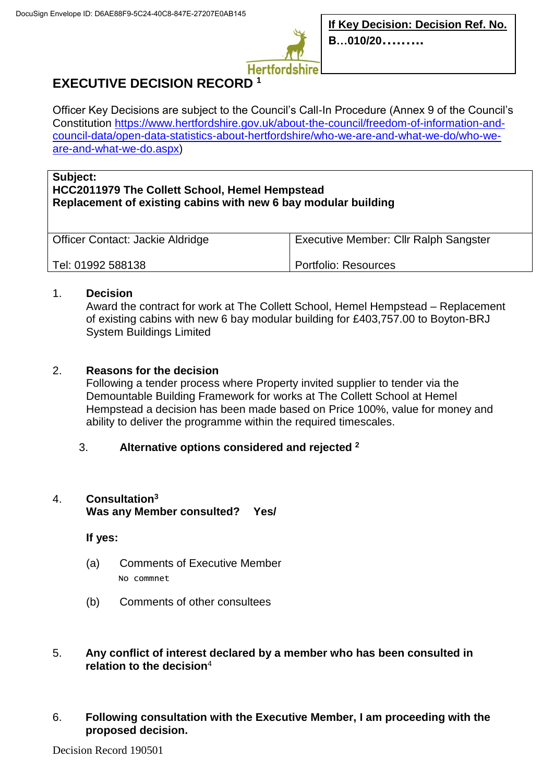

# **EXECUTIVE DECISION RECORD <sup>1</sup>**

Officer Key Decisions are subject to the Council's Call-In Procedure (Annex 9 of the Council's Constitution [https://www.hertfordshire.gov.uk/about-the-council/freedom-of-information-and](https://www.hertfordshire.gov.uk/about-the-council/freedom-of-information-and-council-data/open-data-statistics-about-hertfordshire/who-we-are-and-what-we-do/who-we-are-and-what-we-do.aspx)[council-data/open-data-statistics-about-hertfordshire/who-we-are-and-what-we-do/who-we](https://www.hertfordshire.gov.uk/about-the-council/freedom-of-information-and-council-data/open-data-statistics-about-hertfordshire/who-we-are-and-what-we-do/who-we-are-and-what-we-do.aspx)[are-and-what-we-do.aspx\)](https://www.hertfordshire.gov.uk/about-the-council/freedom-of-information-and-council-data/open-data-statistics-about-hertfordshire/who-we-are-and-what-we-do/who-we-are-and-what-we-do.aspx)

#### **Subject:**

### **HCC2011979 The Collett School, Hemel Hempstead Replacement of existing cabins with new 6 bay modular building**

| Officer Contact: Jackie Aldridge | <b>Executive Member: Cllr Ralph Sangster</b> |
|----------------------------------|----------------------------------------------|
| Tel: 01992 588138                | Portfolio: Resources                         |

#### 1. **Decision**

Award the contract for work at The Collett School, Hemel Hempstead – Replacement of existing cabins with new 6 bay modular building for £403,757.00 to Boyton-BRJ System Buildings Limited

# 2. **Reasons for the decision**

Following a tender process where Property invited supplier to tender via the Demountable Building Framework for works at The Collett School at Hemel Hempstead a decision has been made based on Price 100%, value for money and ability to deliver the programme within the required timescales.

# 3. **Alternative options considered and rejected <sup>2</sup>**

# 4. **Consultation<sup>3</sup>**

**Was any Member consulted? Yes/**

**If yes:**

- (a) Comments of Executive Member No commnet
- (b) Comments of other consultees

#### 5. **Any conflict of interest declared by a member who has been consulted in relation to the decision**<sup>4</sup>

6. **Following consultation with the Executive Member, I am proceeding with the proposed decision.**

Decision Record 190501